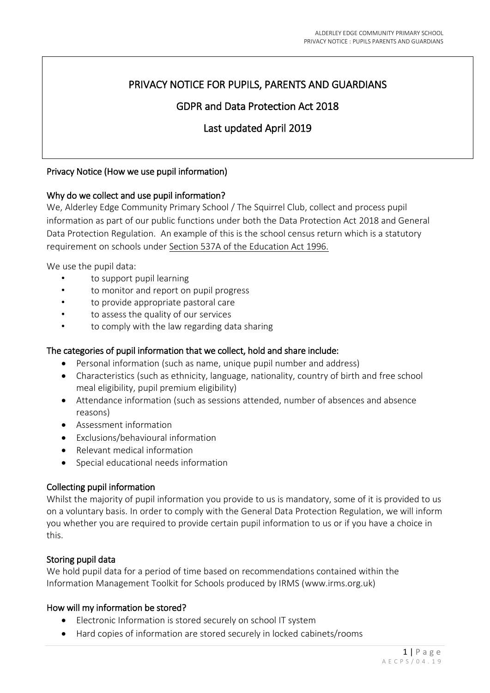# PRIVACY NOTICE FOR PUPILS, PARENTS AND GUARDIANS

## GDPR and Data Protection Act 2018

## Last updated April 2019

## Privacy Notice (How we use pupil information)

#### Why do we collect and use pupil information?

We, Alderley Edge Community Primary School / The Squirrel Club, collect and process pupil information as part of our public functions under both the Data Protection Act 2018 and General Data Protection Regulation. An example of this is the school census return which is a statutory requirement on schools under [Section 537A of the Education Act 1996.](http://www.legislation.gov.uk/ukpga/1996/56/section/537A)

We use the pupil data:

- to support pupil learning
- to monitor and report on pupil progress
- to provide appropriate pastoral care
- to assess the quality of our services
- to comply with the law regarding data sharing

## The categories of pupil information that we collect, hold and share include:

- Personal information (such as name, unique pupil number and address)
- Characteristics (such as ethnicity, language, nationality, country of birth and free school meal eligibility, pupil premium eligibility)
- Attendance information (such as sessions attended, number of absences and absence reasons)
- Assessment information
- Exclusions/behavioural information
- Relevant medical information
- Special educational needs information

## Collecting pupil information

Whilst the majority of pupil information you provide to us is mandatory, some of it is provided to us on a voluntary basis. In order to comply with the General Data Protection Regulation, we will inform you whether you are required to provide certain pupil information to us or if you have a choice in this.

#### Storing pupil data

We hold pupil data for a period of time based on recommendations contained within the Information Management Toolkit for Schools produced by IRMS (www.irms.org.uk)

#### How will my information be stored?

- Electronic Information is stored securely on school IT system
- Hard copies of information are stored securely in locked cabinets/rooms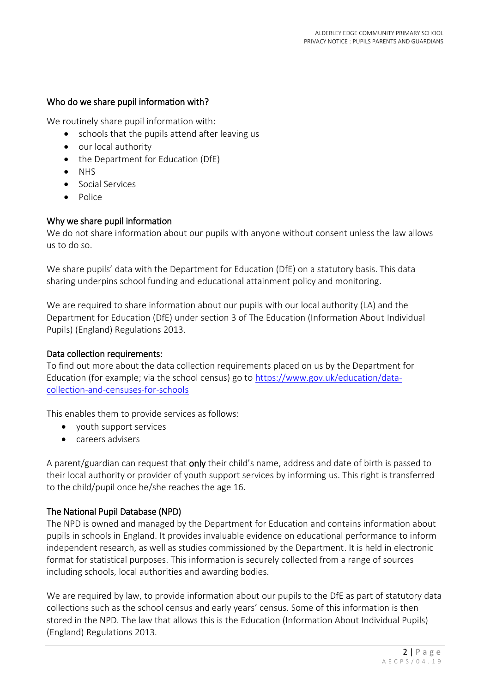## Who do we share pupil information with?

We routinely share pupil information with:

- schools that the pupils attend after leaving us
- our local authority
- the Department for Education (DfE)
- $\bullet$  NHS
- Social Services
- Police

## Why we share pupil information

We do not share information about our pupils with anyone without consent unless the law allows us to do so.

We share pupils' data with the Department for Education (DfE) on a statutory basis. This data sharing underpins school funding and educational attainment policy and monitoring.

We are required to share information about our pupils with our local authority (LA) and the Department for Education (DfE) under section 3 of The Education (Information About Individual Pupils) (England) Regulations 2013.

#### Data collection requirements:

To find out more about the data collection requirements placed on us by the Department for Education (for example; via the school census) go to [https://www.gov.uk/education/data](https://www.gov.uk/education/data-collection-and-censuses-for-schools)[collection-and-censuses-for-schools](https://www.gov.uk/education/data-collection-and-censuses-for-schools)

This enables them to provide services as follows:

- youth support services
- careers advisers

A parent/guardian can request that only their child's name, address and date of birth is passed to their local authority or provider of youth support services by informing us. This right is transferred to the child/pupil once he/she reaches the age 16.

## The National Pupil Database (NPD)

The NPD is owned and managed by the Department for Education and contains information about pupils in schools in England. It provides invaluable evidence on educational performance to inform independent research, as well as studies commissioned by the Department. It is held in electronic format for statistical purposes. This information is securely collected from a range of sources including schools, local authorities and awarding bodies.

We are required by law, to provide information about our pupils to the DfE as part of statutory data collections such as the school census and early years' census. Some of this information is then stored in the NPD. The law that allows this is the Education (Information About Individual Pupils) (England) Regulations 2013.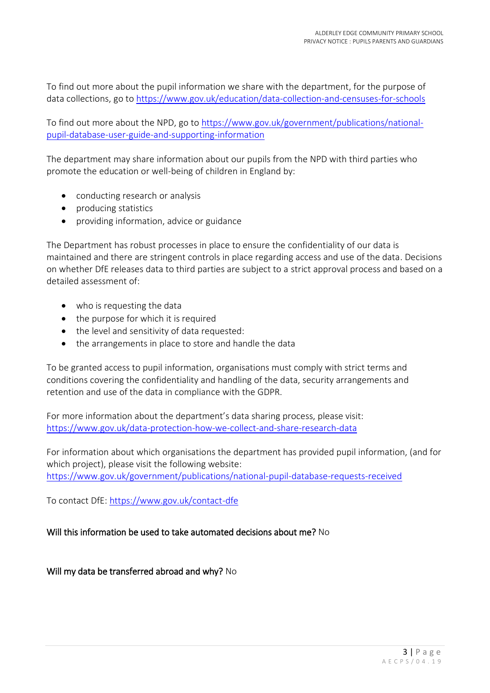To find out more about the pupil information we share with the department, for the purpose of data collections, go to <https://www.gov.uk/education/data-collection-and-censuses-for-schools>

To find out more about the NPD, go t[o https://www.gov.uk/government/publications/national](https://www.gov.uk/government/publications/national-pupil-database-user-guide-and-supporting-information)[pupil-database-user-guide-and-supporting-information](https://www.gov.uk/government/publications/national-pupil-database-user-guide-and-supporting-information)

The department may share information about our pupils from the NPD with third parties who promote the education or well-being of children in England by:

- conducting research or analysis
- producing statistics
- providing information, advice or guidance

The Department has robust processes in place to ensure the confidentiality of our data is maintained and there are stringent controls in place regarding access and use of the data. Decisions on whether DfE releases data to third parties are subject to a strict approval process and based on a detailed assessment of:

- who is requesting the data
- $\bullet$  the purpose for which it is required
- the level and sensitivity of data requested:
- the arrangements in place to store and handle the data

To be granted access to pupil information, organisations must comply with strict terms and conditions covering the confidentiality and handling of the data, security arrangements and retention and use of the data in compliance with the GDPR.

For more information about the department's data sharing process, please visit: <https://www.gov.uk/data-protection-how-we-collect-and-share-research-data>

For information about which organisations the department has provided pupil information, (and for which project), please visit the following website: <https://www.gov.uk/government/publications/national-pupil-database-requests-received>

To contact DfE:<https://www.gov.uk/contact-dfe>

## Will this information be used to take automated decisions about me? No

Will my data be transferred abroad and why? No